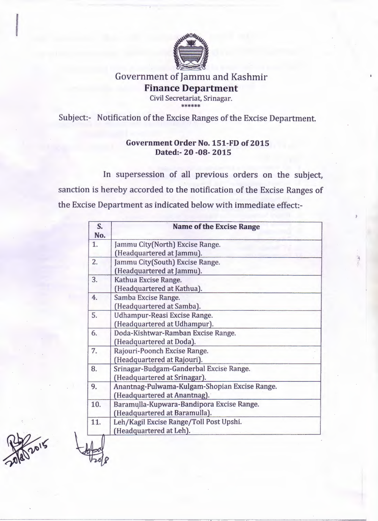

## Government of Jammu and Kashmir Finance Department Civil Secretariat, Srinagar.

\*\*\*\*\*\*

Subject:- Notification of the Excise Ranges of the Excise Department.

## Government Order No. 151-FD of 2015 Dated:- 20 -08- 2015

In supersession of all previous orders on the subject, sanction is hereby accorded to the notification of the Excise Ranges of the Excise Department as indicated below with immediate effect:-

| S.<br>No. | <b>Name of the Excise Range</b>                                               |  |
|-----------|-------------------------------------------------------------------------------|--|
| 1.        | Jammu City(North) Excise Range.<br>(Headquartered at Jammu).                  |  |
| 2.        | Jammu City(South) Excise Range.<br>(Headquartered at Jammu).                  |  |
| 3.        | Kathua Excise Range.<br>(Headquartered at Kathua).                            |  |
| 4.        | Samba Excise Range.<br>(Headquartered at Samba).                              |  |
| 5.        | Udhampur-Reasi Excise Range.<br>(Headquartered at Udhampur).                  |  |
| 6.        | Doda-Kishtwar-Ramban Excise Range.<br>(Headquartered at Doda).                |  |
| 7.        | Rajouri-Poonch Excise Range.<br>(Headquartered at Rajouri).                   |  |
| 8.        | Srinagar-Budgam-Ganderbal Excise Range.<br>(Headquartered at Srinagar).       |  |
| 9.        | Anantnag-Pulwama-Kulgam-Shopian Excise Range.<br>(Headquartered at Anantnag). |  |
| 10.       | Baramulla-Kupwara-Bandipora Excise Range.<br>(Headquartered at Baramulla).    |  |
| 11.       | Leh/Kagil Excise Range/Toll Post Upshi.<br>(Headquartered at Leh).            |  |

2015

 $+$ ~